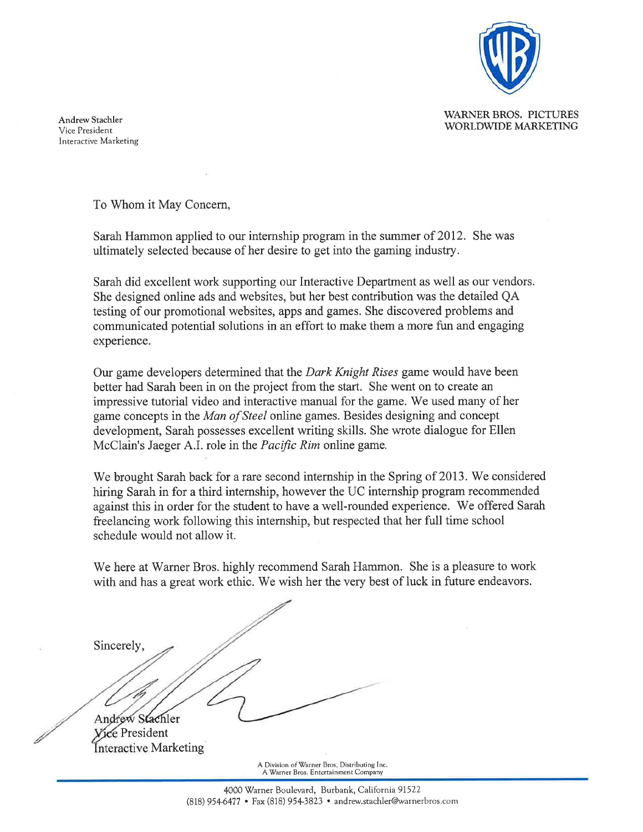

**WARNER BROS. PICTURES** WORLDWIDE MARKETING

**Andrew Stachler** Vice President Interactive Marketing

To Whom it May Concern.

Sarah Hammon applied to our internship program in the summer of 2012. She was ultimately selected because of her desire to get into the gaming industry.

Sarah did excellent work supporting our Interactive Department as well as our vendors. She designed online ads and websites, but her best contribution was the detailed OA testing of our promotional websites, apps and games. She discovered problems and communicated potential solutions in an effort to make them a more fun and engaging experience.

Our game developers determined that the *Dark Knight Rises* game would have been better had Sarah been in on the project from the start. She went on to create an impressive tutorial video and interactive manual for the game. We used many of her game concepts in the Man of Steel online games. Besides designing and concept development. Sarah possesses excellent writing skills. She wrote dialogue for Ellen McClain's Jaeger A.I. role in the *Pacific Rim* online game.

We brought Sarah back for a rare second internship in the Spring of 2013. We considered hiring Sarah in for a third internship, however the UC internship program recommended against this in order for the student to have a well-rounded experience. We offered Sarah freelancing work following this internship, but respected that her full time school schedule would not allow it.

We here at Warner Bros. highly recommend Sarah Hammon. She is a pleasure to work with and has a great work ethic. We wish her the very best of luck in future endeavors.

Sincerely, Andrew Stachler e President

Interactive Marketing

A Division of Warner Bros. Distributing Inc. A Warner Bros. Entertainment Company